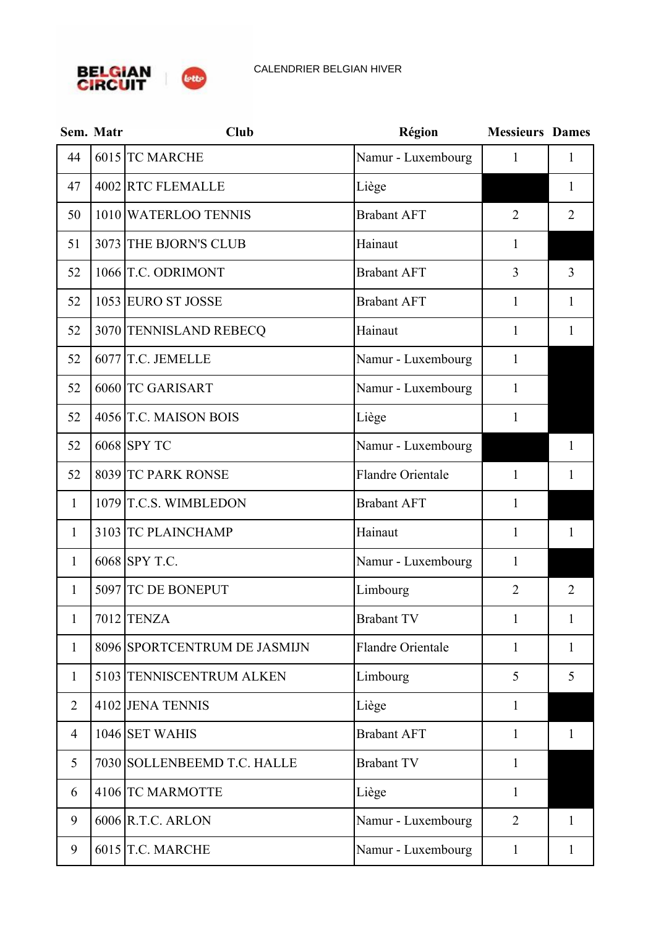

|                | Sem. Matr | <b>Club</b>                  | Région                   | <b>Messieurs Dames</b> |                |
|----------------|-----------|------------------------------|--------------------------|------------------------|----------------|
| 44             |           | 6015 TC MARCHE               | Namur - Luxembourg       | 1                      | 1              |
| 47             |           | 4002 RTC FLEMALLE            | Liège                    |                        | 1              |
| 50             |           | 1010 WATERLOO TENNIS         | <b>Brabant AFT</b>       | $\overline{2}$         | $\overline{2}$ |
| 51             |           | 3073 THE BJORN'S CLUB        | Hainaut                  | $\mathbf{1}$           |                |
| 52             |           | 1066 T.C. ODRIMONT           | <b>Brabant AFT</b>       | $\overline{3}$         | 3              |
| 52             |           | 1053 EURO ST JOSSE           | <b>Brabant AFT</b>       | $\mathbf{1}$           | $\mathbf{1}$   |
| 52             |           | 3070 TENNISLAND REBECQ       | Hainaut                  | $\mathbf{1}$           | 1              |
| 52             |           | 6077 T.C. JEMELLE            | Namur - Luxembourg       | $\mathbf{1}$           |                |
| 52             |           | 6060 TC GARISART             | Namur - Luxembourg       | $\mathbf{1}$           |                |
| 52             |           | 4056 T.C. MAISON BOIS        | Liège                    | $\mathbf{1}$           |                |
| 52             |           | 6068 SPY TC                  | Namur - Luxembourg       |                        | 1              |
| 52             |           | 8039 TC PARK RONSE           | Flandre Orientale        | 1                      | 1              |
| $\mathbf{1}$   |           | 1079 T.C.S. WIMBLEDON        | <b>Brabant AFT</b>       | $\mathbf{1}$           |                |
| $\mathbf{1}$   |           | 3103 TC PLAINCHAMP           | Hainaut                  | $\mathbf{1}$           | $\mathbf{1}$   |
| $\mathbf{1}$   |           | 6068 SPY T.C.                | Namur - Luxembourg       | $\mathbf{1}$           |                |
| 1              |           | 5097 TC DE BONEPUT           | Limbourg                 | $\overline{2}$         | $\overline{2}$ |
| $\mathbf{1}$   |           | 7012 TENZA                   | <b>Brabant TV</b>        | $\mathbf{1}$           | $\mathbf{1}$   |
| $\mathbf{1}$   |           | 8096 SPORTCENTRUM DE JASMIJN | <b>Flandre Orientale</b> | $\mathbf{1}$           | $\mathbf{1}$   |
| $\mathbf{1}$   |           | 5103 TENNISCENTRUM ALKEN     | Limbourg                 | 5                      | 5              |
| $\overline{2}$ |           | 4102 JENA TENNIS             | Liège                    | $\mathbf{1}$           |                |
| $\overline{4}$ |           | 1046 SET WAHIS               | <b>Brabant AFT</b>       | $\mathbf{1}$           | $\mathbf{1}$   |
| 5              |           | 7030 SOLLENBEEMD T.C. HALLE  | <b>Brabant TV</b>        | $\mathbf{1}$           |                |
| 6              |           | 4106 TC MARMOTTE             | Liège                    | $\mathbf{1}$           |                |
| 9              |           | $6006$ R.T.C. ARLON          | Namur - Luxembourg       | $\overline{2}$         | $\mathbf{1}$   |
| 9              |           | $6015$ T.C. MARCHE           | Namur - Luxembourg       | $\mathbf{1}$           | $\mathbf{1}$   |